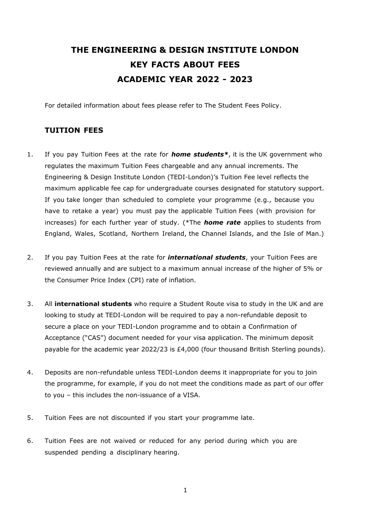# **THE ENGINEERING & DESIGN INSTITUTE LONDON KEY FACTS ABOUT FEES ACADEMIC YEAR 2022 - 2023**

For detailed information about fees please refer to The Student Fees Policy.

## **TUITION FEES**

- 1. If you pay Tuition Fees at the rate for *home students\**, it is the UK government who regulates the maximum Tuition Fees chargeable and any annual increments. The Engineering & Design Institute London (TEDI-London)'s Tuition Fee level reflects the maximum applicable fee cap for undergraduate courses designated for statutory support. If you take longer than scheduled to complete your programme (e.g., because you have to retake a year) you must pay the applicable Tuition Fees (with provision for increases) for each further year of study. (\*The *home rate* applies to students from England, Wales, Scotland, Northern Ireland, the Channel Islands, and the Isle of Man.)
- 2. If you pay Tuition Fees at the rate for *international students*, your Tuition Fees are reviewed annually and are subject to a maximum annual increase of the higher of 5% or the Consumer Price Index (CPI) rate of inflation.
- 3. All **international students** who require a Student Route visa to study in the UK and are looking to study at TEDI-London will be required to pay a non-refundable deposit to secure a place on your TEDI-London programme and to obtain a Confirmation of Acceptance ("CAS") document needed for your visa application. The minimum deposit payable for the academic year 2022/23 is £4,000 (four thousand British Sterling pounds).
- 4. Deposits are non-refundable unless TEDI-London deems it inappropriate for you to join the programme, for example, if you do not meet the conditions made as part of our offer to you – this includes the non-issuance of a VISA.
- 5. Tuition Fees are not discounted if you start your programme late.
- 6. Tuition Fees are not waived or reduced for any period during which you are suspended pending a disciplinary hearing.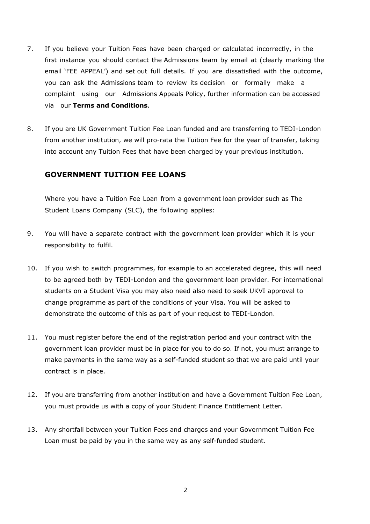- 7. If you believe your Tuition Fees have been charged or calculated incorrectly, in the first instance you should contact the Admissions team by email at (clearly marking the email 'FEE APPEAL') and set out full details. If you are dissatisfied with the outcome, you can ask the Admissions team to review its decision or formally make a complaint using our Admissions Appeals Policy, further information can be accessed via our **Terms and Conditions**.
- 8. If you are UK Government Tuition Fee Loan funded and are transferring to TEDI-London from another institution, we will pro-rata the Tuition Fee for the year of transfer, taking into account any Tuition Fees that have been charged by your previous institution.

#### **GOVERNMENT TUITION FEE LOANS**

Where you have a Tuition Fee Loan from a government loan provider such as The Student Loans Company (SLC), the following applies:

- 9. You will have a separate contract with the government loan provider which it is your responsibility to fulfil.
- 10. If you wish to switch programmes, for example to an accelerated degree, this will need to be agreed both by TEDI-London and the government loan provider. For international students on a Student Visa you may also need also need to seek UKVI approval to change programme as part of the conditions of your Visa. You will be asked to demonstrate the outcome of this as part of your request to TEDI-London.
- 11. You must register before the end of the registration period and your contract with the government loan provider must be in place for you to do so. If not, you must arrange to make payments in the same way as a self-funded student so that we are paid until your contract is in place.
- 12. If you are transferring from another institution and have a Government Tuition Fee Loan, you must provide us with a copy of your Student Finance Entitlement Letter.
- 13. Any shortfall between your Tuition Fees and charges and your Government Tuition Fee Loan must be paid by you in the same way as any self-funded student.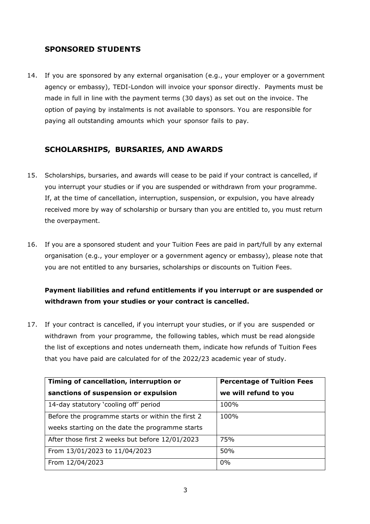## **SPONSORED STUDENTS**

14. If you are sponsored by any external organisation (e.g., your employer or a government agency or embassy), TEDI-London will invoice your sponsor directly. Payments must be made in full in line with the payment terms (30 days) as set out on the invoice. The option of paying by instalments is not available to sponsors. You are responsible for paying all outstanding amounts which your sponsor fails to pay.

## **SCHOLARSHIPS, BURSARIES, AND AWARDS**

- 15. Scholarships, bursaries, and awards will cease to be paid if your contract is cancelled, if you interrupt your studies or if you are suspended or withdrawn from your programme. If, at the time of cancellation, interruption, suspension, or expulsion, you have already received more by way of scholarship or bursary than you are entitled to, you must return the overpayment.
- 16. If you are a sponsored student and your Tuition Fees are paid in part/full by any external organisation (e.g., your employer or a government agency or embassy), please note that you are not entitled to any bursaries, scholarships or discounts on Tuition Fees.

# **Payment liabilities and refund entitlements if you interrupt or are suspended or withdrawn from your studies or your contract is cancelled.**

17. If your contract is cancelled, if you interrupt your studies, or if you are suspended or withdrawn from your programme, the following tables, which must be read alongside the list of exceptions and notes underneath them, indicate how refunds of Tuition Fees that you have paid are calculated for of the 2022/23 academic year of study.

| Timing of cancellation, interruption or           | <b>Percentage of Tuition Fees</b> |
|---------------------------------------------------|-----------------------------------|
| sanctions of suspension or expulsion              | we will refund to you             |
| 14-day statutory 'cooling off' period             | 100%                              |
| Before the programme starts or within the first 2 | 100%                              |
| weeks starting on the date the programme starts   |                                   |
| After those first 2 weeks but before 12/01/2023   | 75%                               |
| From 13/01/2023 to 11/04/2023                     | 50%                               |
| From 12/04/2023                                   | 0%                                |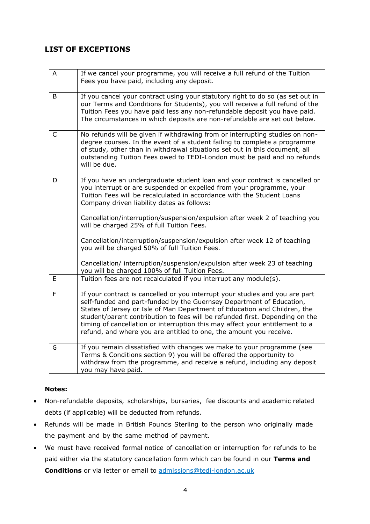## **LIST OF EXCEPTIONS**

| A           | If we cancel your programme, you will receive a full refund of the Tuition<br>Fees you have paid, including any deposit.                                                                                                                                                                                                                                                                                                                                                |
|-------------|-------------------------------------------------------------------------------------------------------------------------------------------------------------------------------------------------------------------------------------------------------------------------------------------------------------------------------------------------------------------------------------------------------------------------------------------------------------------------|
| B           | If you cancel your contract using your statutory right to do so (as set out in<br>our Terms and Conditions for Students), you will receive a full refund of the<br>Tuition Fees you have paid less any non-refundable deposit you have paid.<br>The circumstances in which deposits are non-refundable are set out below.                                                                                                                                               |
| $\mathsf C$ | No refunds will be given if withdrawing from or interrupting studies on non-<br>degree courses. In the event of a student failing to complete a programme<br>of study, other than in withdrawal situations set out in this document, all<br>outstanding Tuition Fees owed to TEDI-London must be paid and no refunds<br>will be due.                                                                                                                                    |
| D           | If you have an undergraduate student loan and your contract is cancelled or<br>you interrupt or are suspended or expelled from your programme, your<br>Tuition Fees will be recalculated in accordance with the Student Loans<br>Company driven liability dates as follows:                                                                                                                                                                                             |
|             | Cancellation/interruption/suspension/expulsion after week 2 of teaching you<br>will be charged 25% of full Tuition Fees.                                                                                                                                                                                                                                                                                                                                                |
|             | Cancellation/interruption/suspension/expulsion after week 12 of teaching<br>you will be charged 50% of full Tuition Fees.                                                                                                                                                                                                                                                                                                                                               |
|             | Cancellation/ interruption/suspension/expulsion after week 23 of teaching<br>you will be charged 100% of full Tuition Fees.                                                                                                                                                                                                                                                                                                                                             |
| E           | Tuition fees are not recalculated if you interrupt any module(s).                                                                                                                                                                                                                                                                                                                                                                                                       |
| F           | If your contract is cancelled or you interrupt your studies and you are part<br>self-funded and part-funded by the Guernsey Department of Education,<br>States of Jersey or Isle of Man Department of Education and Children, the<br>student/parent contribution to fees will be refunded first. Depending on the<br>timing of cancellation or interruption this may affect your entitlement to a<br>refund, and where you are entitled to one, the amount you receive. |
| G           | If you remain dissatisfied with changes we make to your programme (see<br>Terms & Conditions section 9) you will be offered the opportunity to<br>withdraw from the programme, and receive a refund, including any deposit<br>you may have paid.                                                                                                                                                                                                                        |

### **Notes:**

- Non-refundable deposits, scholarships, bursaries, fee discounts and academic related debts (if applicable) will be deducted from refunds.
- Refunds will be made in British Pounds Sterling to the person who originally made the payment and by the same method of payment.
- We must have received formal notice of cancellation or interruption for refunds to be paid either via the statutory cancellation form which can be found in our **Terms and Conditions** or via letter or email to admissions@tedi-london.ac.uk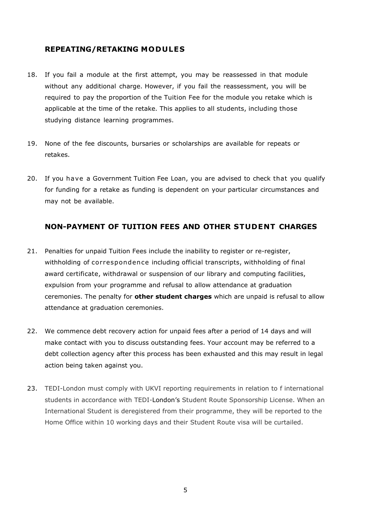### **REPEATING/RETAKING MODULES**

- 18. If you fail a module at the first attempt, you may be reassessed in that module without any additional charge. However, if you fail the reassessment, you will be required to pay the proportion of the Tuition Fee for the module you retake which is applicable at the time of the retake. This applies to all students, including those studying distance learning programmes.
- 19. None of the fee discounts, bursaries or scholarships are available for repeats or retakes.
- 20. If you have a Government Tuition Fee Loan, you are advised to check that you qualify for funding for a retake as funding is dependent on your particular circumstances and may not be available.

### **NON-PAYMENT OF TUITION FEES AND OTHER STUDENT CHARGES**

- 21. Penalties for unpaid Tuition Fees include the inability to register or re-register, withholding of correspondence including official transcripts, withholding of final award certificate, withdrawal or suspension of our library and computing facilities, expulsion from your programme and refusal to allow attendance at graduation ceremonies. The penalty for **other student charges** which are unpaid is refusal to allow attendance at graduation ceremonies.
- 22. We commence debt recovery action for unpaid fees after a period of 14 days and will make contact with you to discuss outstanding fees. Your account may be referred to a debt collection agency after this process has been exhausted and this may result in legal action being taken against you.
- 23. TEDI-London must comply with UKVI reporting requirements in relation to f international students in accordance with TEDI-London's Student Route Sponsorship License. When an International Student is deregistered from their programme, they will be reported to the Home Office within 10 working days and their Student Route visa will be curtailed.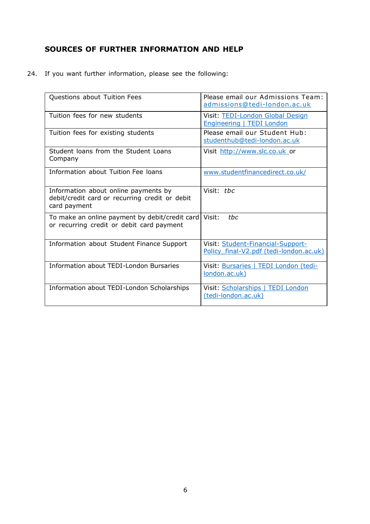# **SOURCES OF FURTHER INFORMATION AND HELP**

24. If you want further information, please see the following:

| Questions about Tuition Fees                                                                           | Please email our Admissions Team:<br>admissions@tedi-london.ac.uk            |
|--------------------------------------------------------------------------------------------------------|------------------------------------------------------------------------------|
| Tuition fees for new students                                                                          | Visit: TEDI-London Global Design<br>Engineering   TEDI London                |
| Tuition fees for existing students                                                                     | Please email our Student Hub:<br>studenthub@tedi-london.ac.uk                |
| Student loans from the Student Loans<br>Company                                                        | Visit http://www.slc.co.uk or                                                |
| Information about Tuition Fee loans                                                                    | www.studentfinancedirect.co.uk/                                              |
| Information about online payments by<br>debit/credit card or recurring credit or debit<br>card payment | Visit: the                                                                   |
| To make an online payment by debit/credit card<br>or recurring credit or debit card payment            | Visit:<br>thc                                                                |
| Information about Student Finance Support                                                              | Visit: Student-Financial-Support-<br>Policy final-V2.pdf (tedi-london.ac.uk) |
| Information about TEDI-London Bursaries                                                                | Visit: Bursaries   TEDI London (tedi-<br>london.ac.uk)                       |
| Information about TEDI-London Scholarships                                                             | Visit: Scholarships   TEDI London<br>(tedi-london.ac.uk)                     |